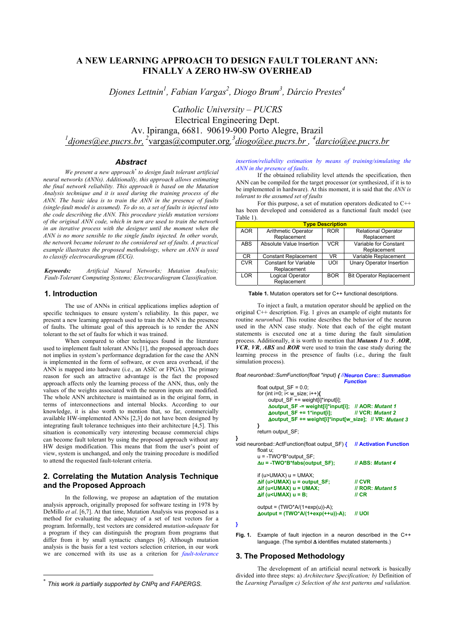# **A NEW LEARNING APPROACH TO DESIGN FAULT TOLERANT ANN: FINALLY A ZERO HW-SW OVERHEAD**

*Djones Lettnin1 , Fabian Vargas<sup>2</sup> , Diogo Brum3 , Dárcio Prestes<sup>4</sup>*

*Catholic University – PUCRS* Electrical Engineering Dept. Av. Ipiranga, 6681. 90619-900 Porto Alegre, Brazil <sup>1</sup> diones@ee.pucrs.br, <sup>2</sup>vargas@computer.org, <sup>3</sup> diogo@ee.pucrs.br, <sup>4</sup> darcio@ee.pucrs.br

## *Abstract*

*We present a new approach\* to design fault tolerant artificial neural networks (ANNs). Additionally, this approach allows estimating the final network reliability. This approach is based on the Mutation Analysis technique and it is used during the training process of the ANN. The basic idea is to train the ANN in the presence of faults (single-fault model is assumed). To do so, a set of faults is injected into the code describing the ANN. This procedure yields mutation versions of the original ANN code, which in turn are used to train the network in an iterative process with the designer until the moment when the ANN is no more sensible to the single faults injected. In other words, the network became tolerant to the considered set of faults. A practical example illustrates the proposed methodology, where an ANN is used to classify electrocardiogram (ECG).*

*Keywords: Artificial Neural Networks; Mutation Analysis; Fault-Tolerant Computing Systems; Electrocardiogram Classification.*

### **1. Introduction**

The use of ANNs in critical applications implies adoption of specific techniques to ensure system's reliability. In this paper, we present a new learning approach used to train the ANN in the presence of faults. The ultimate goal of this approach is to render the ANN tolerant to the set of faults for which it was trained.

When compared to other techniques found in the literature used to implement fault tolerant ANNs [1], the proposed approach does not implies in system's performance degradation for the case the ANN is implemented in the form of software, or even area overhead, if the ANN is mapped into hardware (i.e., an ASIC or FPGA). The primary reason for such an attractive advantage is the fact the proposed approach affects only the learning process of the ANN, thus, only the values of the weights associated with the neuron inputs are modified. The whole ANN architecture is maintained as in the original form, in terms of interconnections and internal blocks. According to our knowledge, it is also worth to mention that, so far, commercially available HW-implemented ANNs [2,3] do not have been designed by integrating fault tolerance techniques into their architecture [4,5]. This situation is economically very interesting because commercial chips can become fault tolerant by using the proposed approach without any HW design modification. This means that from the user's point of view, system is unchanged, and only the training procedure is modified to attend the requested fault-tolerant criteria.

# **2. Correlating the Mutation Analysis Technique and the Proposed Approach**

In the following, we propose an adaptation of the mutation analysis approach, originally proposed for software testing in 1978 by DeMillo *et al*. [6,7]. At that time, Mutation Analysis was proposed as a method for evaluating the adequacy of a set of test vectors for a program. Informally, test vectors are considered *mutation-adequate* for a program if they can distinguish the program from programs that differ from it by small syntactic changes [6]. Although mutation analysis is the basis for a test vectors selection criterion, in our work we are concerned with its use as a criterion for *fault-tolerance*

 $\overline{a}$ 

*insertion/reliability estimation by means of training/simulating the ANN in the presence of faults*.

If the obtained reliability level attends the specification, then ANN can be compiled for the target processor (or synthesized, if it is to be implemented in hardware). At this moment, it is said that the *ANN is tolerant to the assumed set of faults*

For this purpose, a set of mutation operators dedicated to C++ has been developed and considered as a functional fault model (see Table 1).

| <b>Type Description</b>      |            |                                 |  |
|------------------------------|------------|---------------------------------|--|
| <b>Arithmetic Operator</b>   | <b>ROR</b> | <b>Relational Operator</b>      |  |
| Replacement                  |            | Replacement                     |  |
| Absolute Value Insertion     | <b>VCR</b> | Variable for Constant           |  |
|                              |            | Replacement                     |  |
| <b>Constant Replacement</b>  | VR.        | Variable Replacement            |  |
| <b>Constant for Variable</b> | UOI        | <b>Unary Operator Insertion</b> |  |
| Replacement                  |            |                                 |  |
| <b>Logical Operator</b>      | <b>BOR</b> | <b>Bit Operator Replacement</b> |  |
| Replacement                  |            |                                 |  |
|                              |            |                                 |  |

**Table 1.** Mutation operators set for C++ functional descriptions.

To inject a fault, a mutation operator should be applied on the original C++ description. Fig. 1 gives an example of eight mutants for routine *neuronbad*. This routine describes the behavior of the neuron used in the ANN case study. Note that each of the eight mutant statements is executed one at a time during the fault simulation process. Additionally, it is worth to mention that *Mutants 1* to *5*: *AOR*, *VCR*, *VR*, *ABS* and *ROR* were used to train the case study during the learning process in the presence of faults (i.e., during the fault simulation process).

*float neuronbad::SumFunction(float \*input) { //Neuron Core:: Summation*

| <b>Function</b>                                                                                                                                                                                                                                                               |                                                                  |  |
|-------------------------------------------------------------------------------------------------------------------------------------------------------------------------------------------------------------------------------------------------------------------------------|------------------------------------------------------------------|--|
| float output $SF = 0.0$ ;<br>for (int i=0; i< w size; i++) $\{$<br>output SF += weight[i]*input[i];<br>∆output_SF -= weight[i]*input[i]; // AOR: Mutant 1<br>$\Delta$ output_SF += 1*input[i];<br>Δoutput SF += weight[i]*input[w size]; // VR: Mutant 3                      | <b>II VCR: Mutant 2</b>                                          |  |
| λ<br>return output SF;                                                                                                                                                                                                                                                        |                                                                  |  |
| void neuronbad::ActFunction(float output SF) {<br>float u;<br>$u = -TWO*B*output SF$ ;                                                                                                                                                                                        | // Activation Function                                           |  |
| $\Delta u = -TWO^*B^*fabs(output_SF);$                                                                                                                                                                                                                                        | <b>// ABS: Mutant 4</b>                                          |  |
| if ( $u > UMAX$ ) $u = UMAX$ ;<br>$\Delta$ if (u>UMAX) u = output_SF;<br>$\Delta$ if (u <umax) u="UMAX;&lt;br"><math>\Delta</math>if (u<umax) u="B;&lt;/td"><td><math>\mathcal{U}</math> CVR<br/><b>// ROR: Mutant 5</b><br/><math>\mathsf{II}</math> CR</td></umax)></umax)> | $\mathcal{U}$ CVR<br><b>// ROR: Mutant 5</b><br>$\mathsf{II}$ CR |  |
| output = $(TWO*A/(1+exp(u))-A)$ ;<br>$\Delta$ output = (TWO*A/(1+exp(++u))-A);                                                                                                                                                                                                | <i>II</i> UOI                                                    |  |

**<sup>}</sup>**

**Fig. 1.** Example of fault injection in a neuron described in the C++ language. (The symbol ∆ identifies mutated statements.)

# **3. The Proposed Methodology**

The development of an artificial neural network is basically divided into three steps: a) *Architecture Specification; b)* Definition of the *Learning Paradigm c) Selection of the test patterns and validation.*

<sup>\*</sup> *This work is partially supported by CNPq and FAPERGS.*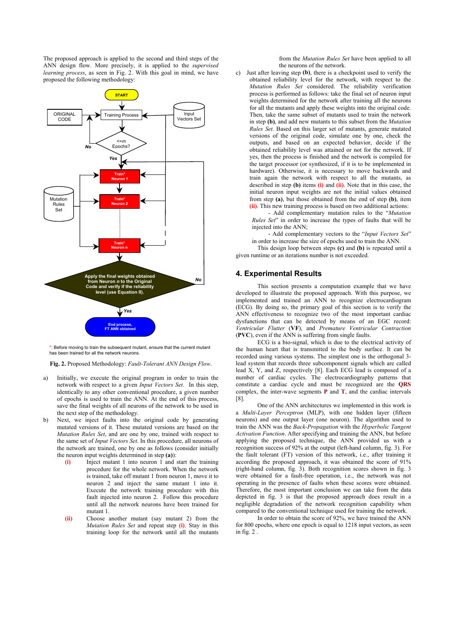The proposed approach is applied to the second and third steps of the ANN design flow. More precisely, it is applied to the *supervised learning process*, as seen in Fig. 2. With this goal in mind, we have proposed the following methodology:



\*: Before moving to train the subsequent mutant, ensure that the current mutant has been trained for all the network neurons.

**Fig. 2.** Proposed Methodology: *Fault-Tolerant ANN Design Flow*.

- a) Initially, we execute the original program in order to train the network with respect to a given *Input Vectors Set*. In this step, identically to any other conventional procedure, a given number of epochs is used to train the ANN. At the end of this process, save the final weights of all neurons of the network to be used in the next step of the methodology.
- b) Next, we inject faults into the original code by generating mutated versions of it. These mutated versions are based on the *Mutation Rules Set*, and are one by one, trained with respect to the same set of *Input Vectors Set*. In this procedure, all neurons of the network are trained, one by one as follows (consider initially the neuron input weights determined in step **(a)**):
	- **(i)** Inject mutant 1 into neuron 1 and start the training procedure for the whole network. When the network is trained, take off mutant 1 from neuron 1, move it to neuron 2 and inject the same mutant 1 into it. Execute the network training procedure with this fault injected into neuron 2. Follow this procedure until all the network neurons have been trained for mutant 1.
	- **(ii)** Choose another mutant (say mutant 2) from the *Mutation Rules Set* and repeat step **(i)**. Stay in this training loop for the network until all the mutants

from the *Mutation Rules Set* have been applied to all the neurons of the network.

c) Just after leaving step **(b)**, there is a checkpoint used to verify the obtained reliability level for the network, with respect to the *Mutation Rules Set* considered. The reliability verification process is performed as follows: take the final set of neuron input weights determined for the network after training all the neurons for all the mutants and apply these weights into the original code. Then, take the same subset of mutants used to train the network in step **(b)**, and add new mutants to this subset from the *Mutation Rules Set*. Based on this larger set of mutants, generate mutated versions of the original code, simulate one by one, check the outputs, and based on an expected behavior, decide if the obtained reliability level was attained or not for the network. If yes, then the process is finished and the network is compiled for the target processor (or synthesized, if it is to be implemented in hardware). Otherwise, it is necessary to move backwards and train again the network with respect to all the mutants, as described in step **(b)** items **(i)** and **(ii)**. Note that in this case, the initial neuron input weights are not the initial values obtained from step **(a)**, but those obtained from the end of step **(b)**, item **(ii)**. This new training process is based on two additional actions:

- Add complementary mutation rules to the "*Mutation Rules Set*" in order to increase the types of faults that will be injected into the ANN;

- Add complementary vectors to the "*Input Vectors Set*" in order to increase the size of epochs used to train the ANN.

This design loop between steps **(c)** and **(b)** is repeated until a given runtime or an iterations number is not exceeded.

#### **4. Experimental Results**

This section presents a computation example that we have developed to illustrate the proposed approach. With this purpose, we implemented and trained an ANN to recognize electrocardiogram (ECG). By doing so, the primary goal of this section is to verify the ANN effectiveness to recognize two of the most important cardiac dysfunctions that can be detected by means of an EGC record: *Ventricular Flutter* (**VF**), and *Premature Ventricular Contraction* (**PVC**), even if the ANN is suffering from single faults.

ECG is a bio-signal, which is due to the electrical activity of the human heart that is transmitted to the body surface. It can be recorded using various systems. The simplest one is the orthogonal 3 lead system that records three subcomponent signals which are called lead  $X$ , Y, and Z, respectively [8]. Each ECG lead is composed of a number of cardiac cycles. The electrocardiography patterns that constitute a cardiac cycle and must be recognized are the **QRS** complex, the inter-wave segments **P** and **T**, and the cardiac intervals [8].

One of the ANN architectures we implemented in this work is a *Multi-Layer Perceptron* (MLP), with one hidden layer (fifteen neurons) and one output layer (one neuron). The algorithm used to train the ANN was the *Back-Propagation* with the *Hyperbolic Tangent Activation Function*. After specifying and training the ANN, but before applying the proposed technique, the ANN provided us with a recognition success of 92% at the output (left-hand column, fig. 3). For the fault tolerant (FT) version of this network, i.e., after training it according the proposed approach, it was obtained the score of 91% (right-hand column, fig. 3). Both recognition scores shown in fig. 3 were obtained for a fault-free operation, i.e., the network was not operating in the presence of faults when these scores were obtained. Therefore, the most important conclusion we can take from the data depicted in fig. 3 is that the proposed approach does result in a negligible degradation of the network recognition capability when compared to the conventional technique used for training the network.

In order to obtain the score of 92%, we have trained the ANN for 800 epochs, where one epoch is equal to 1218 input vectors, as seen in fig. 2 .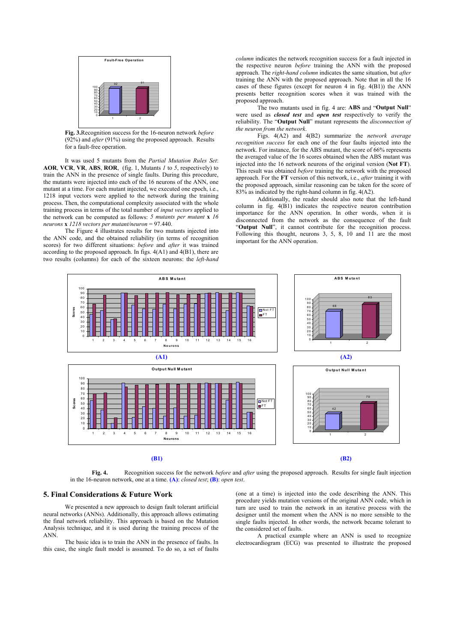

**Fig. 3.**Recognition success for the 16-neuron network *before* (92%) and *after* (91%) using the proposed approach. Results for a fault-free operation.

It was used 5 mutants from the *Partial Mutation Rules Set*: **AOR**, **VCR**, **VR**, **ABS**, **ROR**, (fig. 1, Mutants *1* to *5*, respectively) to train the ANN in the presence of single faults. During this procedure, the mutants were injected into each of the 16 neurons of the ANN, one mutant at a time. For each mutant injected, we executed one epoch, i.e., 1218 input vectors were applied to the network during the training process. Then, the computational complexity associated with the whole training process in terms of the total number of *input vectors* applied to the network can be computed as follows: *5 mutants per mutant* **x** *16 neurons* **x** *1218 vectors per mutant/neuron* = 97.440.

The Figure 4 illustrates results for two mutants injected into the ANN code, and the obtained reliability (in terms of recognition scores) for two different situations: *before* and *after* it was trained according to the proposed approach. In figs. 4(A1) and 4(B1), there are two results (columns) for each of the sixteen neurons: the *left-hand* *column* indicates the network recognition success for a fault injected in the respective neuron *before* training the ANN with the proposed approach. The *right-hand column* indicates the same situation, but *after* training the ANN with the proposed approach. Note that in all the 16 cases of these figures (except for neuron 4 in fig. 4(B1)) the ANN presents better recognition scores when it was trained with the proposed approach.

The two mutants used in fig. 4 are: **ABS** and "**Output Null**" were used as *closed test* and *open test* respectively to verify the reliability. The "**Output Null**" mutant represents the *disconnection of the neuron from the network*.

Figs. 4(A2) and 4(B2) summarize the *network average recognition success* for each one of the four faults injected into the network. For instance, for the ABS mutant, the score of 66% represents the averaged value of the 16 scores obtained when the ABS mutant was injected into the 16 network neurons of the original version (**Not FT**). This result was obtained *before* training the network with the proposed approach. For the **FT** version of this network, i.e., *after* training it with the proposed approach, similar reasoning can be taken for the score of 83% as indicated by the right-hand column in fig. 4(A2).

Additionally, the reader should also note that the left-hand column in fig. 4(B1) indicates the respective neuron contribution importance for the ANN operation. In other words, when it is disconnected from the network as the consequence of the fault "**Output Null**", it cannot contribute for the recognition process. Following this thought, neurons 3, 5, 8, 10 and 11 are the most important for the ANN operation.



**(B1) (B2)**

**Fig. 4.** Recognition success for the network *before* and *after* using the proposed approach. Results for single fault injection in the 16-neuron network, one at a time. **(A)**: *closed test*; **(B)**: *open test*.

# **5. Final Considerations & Future Work**

We presented a new approach to design fault tolerant artificial neural networks (ANNs). Additionally, this approach allows estimating the final network reliability. This approach is based on the Mutation Analysis technique, and it is used during the training process of the ANN.

The basic idea is to train the ANN in the presence of faults. In this case, the single fault model is assumed. To do so, a set of faults (one at a time) is injected into the code describing the ANN. This procedure yields mutation versions of the original ANN code, which in turn are used to train the network in an iterative process with the designer until the moment when the ANN is no more sensible to the single faults injected. In other words, the network became tolerant to the considered set of faults.

A practical example where an ANN is used to recognize electrocardiogram (ECG) was presented to illustrate the proposed